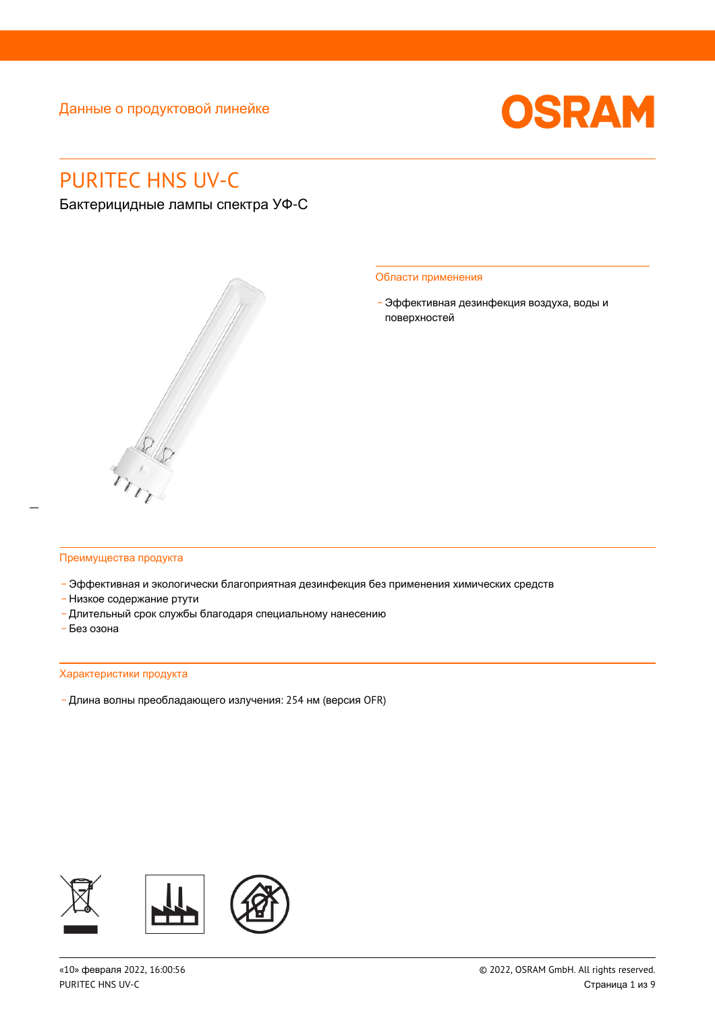

# PURITEC HNS UV-C

Бактерицидные лампы спектра УФ-С



#### Области применения

- Эффективная дезинфекция воздуха, воды и поверхностей

#### Преимущества продукта

- Эффективная и экологически благоприятная дезинфекция без применения химических средств
- \_ Низкое содержание ртути
- Длительный срок службы благодаря специальному нанесению
- . . .<br>- Без озона

### Характеристики продукта

- Длина волны преобладающего излучения: 254 нм (версия OFR)

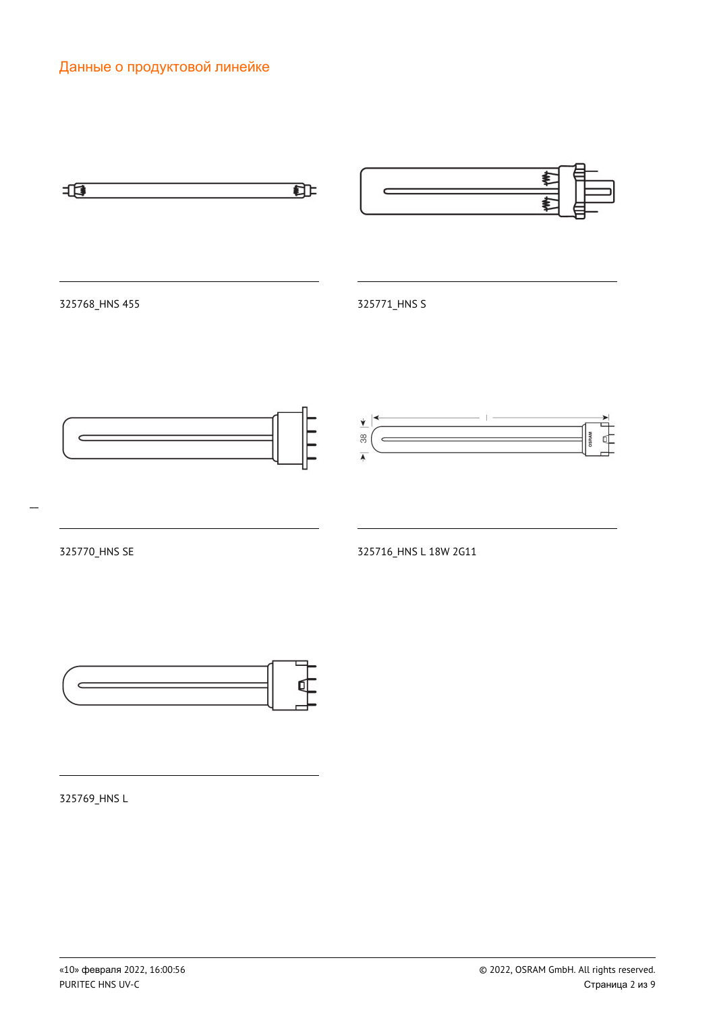



325769\_HNS L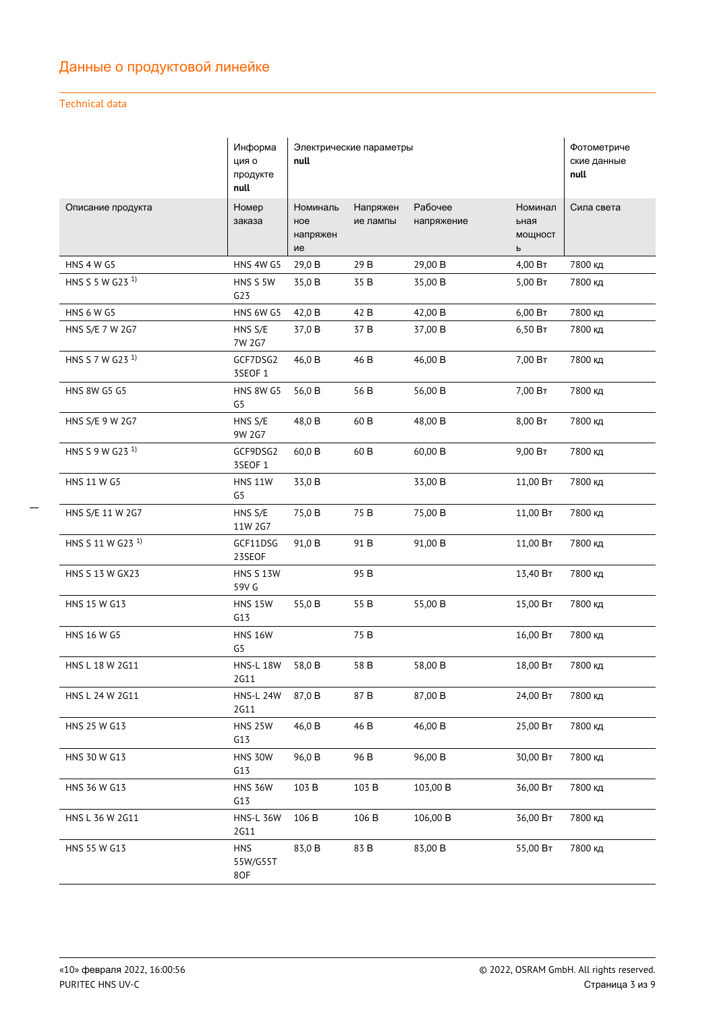### Technical data

|                              | Информа<br>ция о<br>продукте<br>null | Электрические параметры<br>null   |                      |                       | Фотометриче<br>ские данные<br>null |            |
|------------------------------|--------------------------------------|-----------------------------------|----------------------|-----------------------|------------------------------------|------------|
| Описание продукта            | Номер<br>заказа                      | Номиналь<br>ное<br>напряжен<br>ие | Напряжен<br>ие лампы | Рабочее<br>напряжение | Номинал<br>ьная<br>мощност<br>ь    | Сила света |
| <b>HNS 4 W G5</b>            | HNS 4W G5                            | 29,0 B                            | 29 B                 | 29,00 B               | 4,00 BT                            | 7800 кд    |
| HNS S 5 W G23 <sup>1)</sup>  | HNS S 5W<br>G23                      | 35,0B                             | 35 B                 | 35,00 B               | 5,00 B <sub>T</sub>                | 7800 кд    |
| <b>HNS 6 W G5</b>            | HNS 6W G5                            | 42,0 B                            | 42 B                 | 42,00 B               | 6,00 B                             | 7800 кд    |
| HNS S/E 7 W 2G7              | HNS S/E<br>7W 2G7                    | 37,0 B                            | 37 B                 | 37,00 B               | 6,50 BT                            | 7800 кд    |
| HNS S 7 W G23 <sup>1)</sup>  | GCF7DSG2<br>3SEOF 1                  | 46,0 B                            | 46 B                 | 46,00 B               | 7,00 BT                            | 7800 кд    |
| <b>HNS 8W G5 G5</b>          | <b>HNS 8W G5</b><br>G5               | 56,0 B                            | 56 B                 | 56,00 B               | 7,00 BT                            | 7800 кд    |
| HNS S/E 9 W 2G7              | HNS S/E<br>9W 2G7                    | 48,0 B                            | 60 B                 | 48,00 B               | 8,00 BT                            | 7800 кд    |
| HNS S 9 W G23 <sup>1)</sup>  | GCF9DSG2<br>3SEOF 1                  | 60,0 B                            | 60 <sub>B</sub>      | 60,00 B               | 9,00 BT                            | 7800 кд    |
| <b>HNS 11 W G5</b>           | <b>HNS 11W</b><br>G5                 | 33,0 B                            |                      | 33,00 B               | 11,00 BT                           | 7800 кд    |
| HNS S/E 11 W 2G7             | HNS S/E<br>11W 2G7                   | 75,0B                             | 75 B                 | 75,00 B               | 11,00 BT                           | 7800 кд    |
| HNS S 11 W G23 <sup>1)</sup> | GCF11DSG<br>23SEOF                   | 91,0 B                            | 91 B                 | 91,00 B               | 11,00 BT                           | 7800 кд    |
| HNS S 13 W GX23              | <b>HNS S 13W</b><br>59V G            |                                   | 95 <sub>B</sub>      |                       | 13,40 BT                           | 7800 кд    |
| HNS 15 W G13                 | <b>HNS 15W</b><br>G13                | 55,0B                             | 55 B                 | 55,00 B               | 15,00 BT                           | 7800 кд    |
| <b>HNS 16 W G5</b>           | <b>HNS 16W</b><br>G5                 |                                   | 75 B                 |                       | 16,00 BT                           | 7800 кд    |
| HNS L 18 W 2G11              | <b>HNS-L 18W</b><br>2G11             | 58,0B                             | 58 B                 | 58,00 B               | 18,00 BT                           | 7800 кд    |
| HNS L 24 W 2G11              | <b>HNS-L 24W</b><br><b>2G11</b>      | 87,0B                             | 87 B                 | 87,00 B               | 24,00 BT                           | 7800 кд    |
| HNS 25 W G13                 | <b>HNS 25W</b><br>G13                | 46,0 B                            | 46 B                 | 46,00 B               | 25,00 BT                           | 7800 кд    |
| HNS 30 W G13                 | <b>HNS 30W</b><br>G13                | 96,0B                             | 96 B                 | 96,00 B               | 30,00 BT                           | 7800 кд    |
| HNS 36 W G13                 | <b>HNS 36W</b><br>G13                | 103 B                             | 103 B                | 103,00 B              | 36,00 BT                           | 7800 кд    |
| HNS L 36 W 2G11              | <b>HNS-L 36W</b><br>2G11             | 106 B                             | 106 B                | 106,00 B              | 36,00 BT                           | 7800 кд    |
| HNS 55 W G13                 | <b>HNS</b><br>55W/G55T<br>8OF        | 83,0 B                            | 83 B                 | 83,00 B               | 55,00 BT                           | 7800 кд    |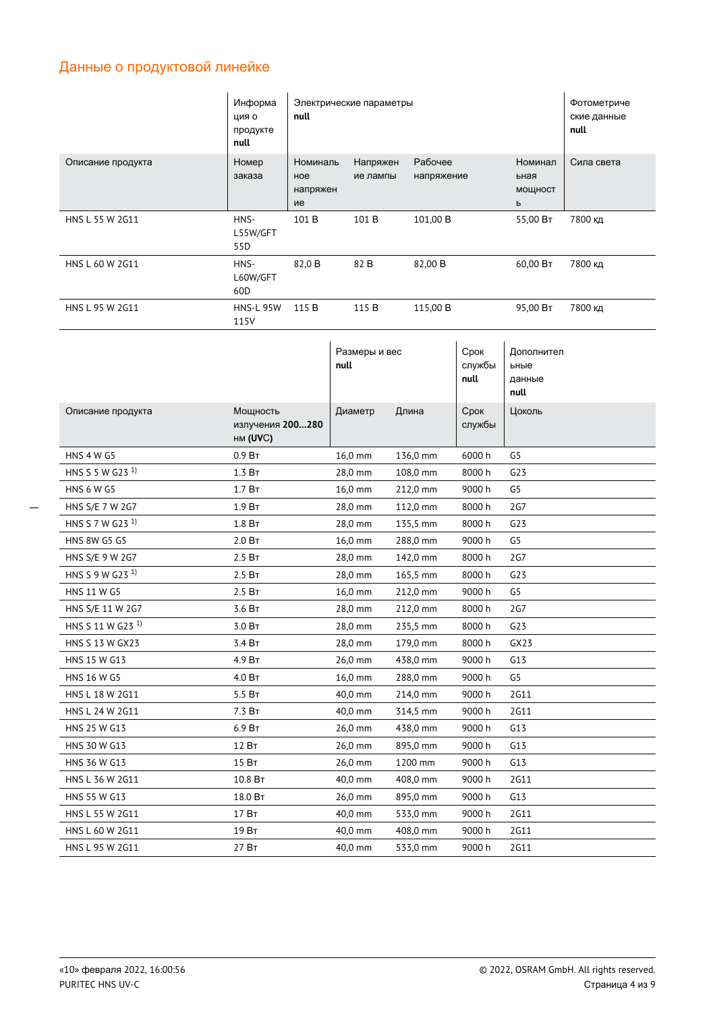|                              | Информа<br>ция о<br>продукте<br>null     | Электрические параметры<br>null   |                       |                       |                        | Фотометриче<br>ские данные<br>null   |            |
|------------------------------|------------------------------------------|-----------------------------------|-----------------------|-----------------------|------------------------|--------------------------------------|------------|
| Описание продукта            | Номер<br>заказа                          | Номиналь<br>ное<br>напряжен<br>ие | Напряжен<br>ие лампы  | Рабочее<br>напряжение |                        | Номинал<br>ьная<br>мощност<br>ь      | Сила света |
| HNS L 55 W 2G11              | HNS-<br>L55W/GFT<br>55D                  | 101 B                             | 101 B                 | 101,00 B              |                        | 55,00 BT                             | 7800 кд    |
| HNS L 60 W 2G11              | HNS-<br>L60W/GFT<br>60 <sub>D</sub>      | 82,0 B                            | 82 B                  | 82,00 B               |                        | 60,00 BT                             | 7800 кд    |
| HNS L 95 W 2G11              | <b>HNS-L 95W</b><br>115V                 | 115 B                             | 115 B                 | 115,00 B              |                        | 95,00 BT                             | 7800 кд    |
|                              |                                          |                                   | Размеры и вес<br>null |                       | Срок<br>службы<br>null | Дополнител<br>ьные<br>данные<br>null |            |
| Описание продукта            | Мощность<br>излучения 200280<br>HM (UVC) |                                   | Диаметр               | Длина                 | Срок<br>службы         | Цоколь                               |            |
| <b>HNS 4 W G5</b>            | 0.9B                                     |                                   | 16,0 mm               | 136,0 mm              | 6000h                  | G <sub>5</sub>                       |            |
| HNS S 5 W G23 <sup>1)</sup>  | 1.3 B <sub>T</sub>                       |                                   | 28,0 mm               | 108,0 mm              | 8000h                  | G23                                  |            |
| <b>HNS 6 W G5</b>            | 1.7 BT                                   |                                   | 16,0 mm               | 212,0 mm              | 9000 h                 | G5                                   |            |
| HNS S/E 7 W 2G7              | 1.9 BT                                   |                                   | 28,0 mm               | 112,0 mm              | 8000 h                 | 2G7                                  |            |
| HNS S 7 W G23 <sup>1)</sup>  | 1.8 BT                                   |                                   | 28,0 mm               | 135,5 mm              | 8000 h                 | G23                                  |            |
| <b>HNS 8W G5 G5</b>          | 2.0 BT                                   |                                   |                       |                       |                        |                                      |            |
| HNS S/E 9 W 2G7              |                                          |                                   | 16,0 mm               | 288,0 mm              | 9000 h                 | G5                                   |            |
|                              | 2.5B                                     |                                   | 28,0 mm               | 142,0 mm              | 8000 h                 | 2G7                                  |            |
| HNS S 9 W G23 <sup>1)</sup>  | 2.5 BT                                   |                                   | 28,0 mm               | 165,5 mm              | 8000h                  | G23                                  |            |
| HNS 11 W G5                  | 2.5 BT                                   |                                   | 16,0 mm               | 212,0 mm              | 9000 h                 | G5                                   |            |
| HNS S/E 11 W 2G7             | 3.6 BT                                   |                                   | 28,0 mm               | 212,0 mm              | 8000 h                 | 2G7                                  |            |
| HNS S 11 W G23 <sup>1)</sup> | $3.0\;B\tau$                             |                                   | 28,0 mm               | 235,5 mm              | 8000 h                 | G23                                  |            |
| HNS S 13 W GX23              | 3.4 BT                                   |                                   | 28,0 mm               | 179,0 mm              | 8000 h                 | GX23                                 |            |
| HNS 15 W G13                 | 4.9 Вт                                   |                                   | 26,0 mm               | 438,0 mm              | 9000 h                 | G13                                  |            |
| HNS 16 W G5                  | 4.0 BT                                   |                                   | 16,0 mm               | 288,0 mm              | 9000 h                 | G5                                   |            |
| HNS L 18 W 2G11              | 5.5 BT                                   |                                   | 40,0 mm               | 214,0 mm              | 9000 h                 | <b>2G11</b>                          |            |
| HNS L 24 W 2G11              | 7.3 Вт                                   |                                   | 40,0 mm               | 314,5 mm              | 9000 h                 | 2G11                                 |            |
| HNS 25 W G13                 | 6.9 BT                                   |                                   | 26,0 mm               | 438,0 mm              | 9000 h                 | G13                                  |            |
| HNS 30 W G13                 | 12 BT                                    |                                   | 26,0 mm               | 895,0 mm              | 9000 h                 | G13                                  |            |

 $40,0$  mm

26,0 mm

40,0 mm

40,0 mm

40,0 mm

408,0 mm

895,0 mm

533,0 mm

408,0 mm

533,0 mm

9000 h

9000 h

9000 h

9000 h

9000 h

2G11

 $G13$ 

2G11

2G11

2G11

HNS L 36 W 2G11

HNS L 55 W 2G11

HNS L 60 W 2G11

HNS L 95 W 2G11

HNS 55 W G13

 $10.8\;\mathrm{Br}$ 

18.0 BT

17 BT

19 BT

 $27B<sub>T</sub>$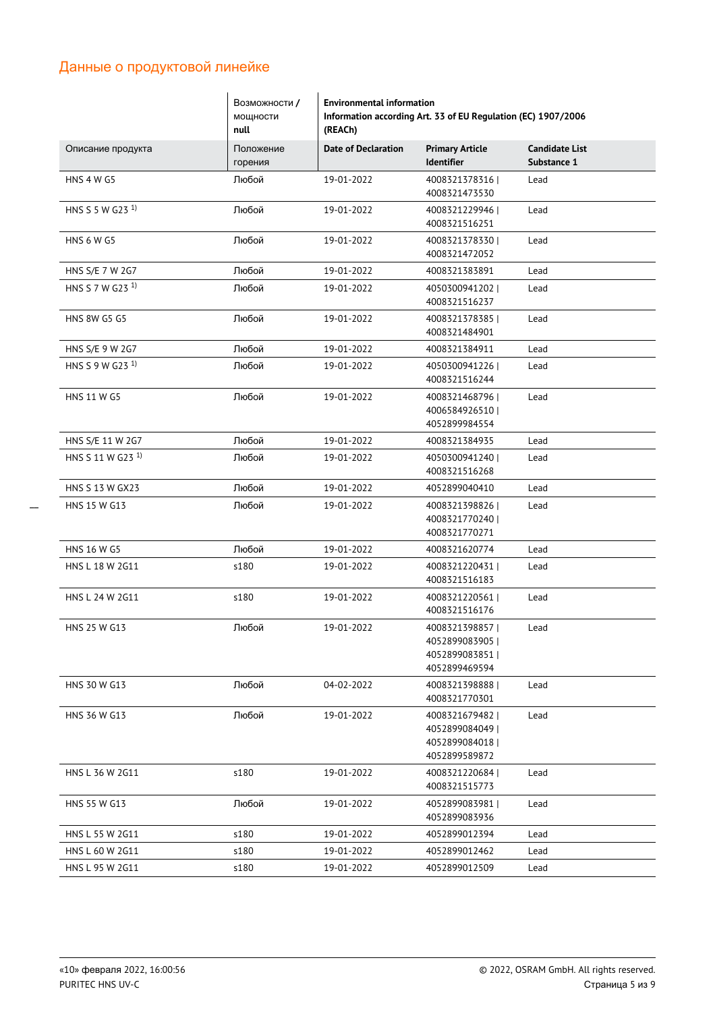|                              | Возможности /<br>мощности<br>null | <b>Environmental information</b><br>Information according Art. 33 of EU Regulation (EC) 1907/2006<br>(REACh) |                                                                     |                                      |  |
|------------------------------|-----------------------------------|--------------------------------------------------------------------------------------------------------------|---------------------------------------------------------------------|--------------------------------------|--|
| Описание продукта            | Положение<br>горения              | <b>Date of Declaration</b>                                                                                   | <b>Primary Article</b><br><b>Identifier</b>                         | <b>Candidate List</b><br>Substance 1 |  |
| <b>HNS 4 W G5</b>            | Любой                             | 19-01-2022                                                                                                   | 4008321378316<br>4008321473530                                      | Lead                                 |  |
| HNS S 5 W G23 <sup>1)</sup>  | Любой                             | 19-01-2022                                                                                                   | 40083212299461<br>4008321516251                                     | Lead                                 |  |
| <b>HNS 6 W G5</b>            | Любой                             | 19-01-2022                                                                                                   | 4008321378330  <br>4008321472052                                    | Lead                                 |  |
| HNS S/E 7 W 2G7              | Любой                             | 19-01-2022                                                                                                   | 4008321383891                                                       | Lead                                 |  |
| HNS S 7 W G23 <sup>1)</sup>  | Любой                             | 19-01-2022                                                                                                   | 4050300941202<br>4008321516237                                      | Lead                                 |  |
| <b>HNS 8W G5 G5</b>          | Любой                             | 19-01-2022                                                                                                   | 4008321378385  <br>4008321484901                                    | Lead                                 |  |
| HNS S/E 9 W 2G7              | Любой                             | 19-01-2022                                                                                                   | 4008321384911                                                       | Lead                                 |  |
| HNS S 9 W G23 <sup>1)</sup>  | Любой                             | 19-01-2022                                                                                                   | 4050300941226<br>4008321516244                                      | Lead                                 |  |
| <b>HNS 11 W G5</b>           | Любой                             | 19-01-2022                                                                                                   | 40083214687961<br>4006584926510  <br>4052899984554                  | Lead                                 |  |
| HNS S/E 11 W 2G7             | Любой                             | 19-01-2022                                                                                                   | 4008321384935                                                       | Lead                                 |  |
| HNS S 11 W G23 <sup>1)</sup> | Любой                             | 19-01-2022                                                                                                   | 4050300941240<br>4008321516268                                      | Lead                                 |  |
| HNS S 13 W GX23              | Любой                             | 19-01-2022                                                                                                   | 4052899040410                                                       | Lead                                 |  |
| HNS 15 W G13                 | Любой                             | 19-01-2022                                                                                                   | 4008321398826<br>4008321770240<br>4008321770271                     | Lead                                 |  |
| <b>HNS 16 W G5</b>           | Любой                             | 19-01-2022                                                                                                   | 4008321620774                                                       | Lead                                 |  |
| HNS L 18 W 2G11              | s180                              | 19-01-2022                                                                                                   | 4008321220431  <br>4008321516183                                    | Lead                                 |  |
| HNS L 24 W 2G11              | s180                              | 19-01-2022                                                                                                   | 4008321220561  <br>4008321516176                                    | Lead                                 |  |
| HNS 25 W G13                 | Любой                             | 19-01-2022                                                                                                   | 4008321398857  <br>4052899083905<br>4052899083851<br>4052899469594  | Lead                                 |  |
| HNS 30 W G13                 | Любой                             | 04-02-2022                                                                                                   | 4008321398888  <br>4008321770301                                    | Lead                                 |  |
| HNS 36 W G13                 | Любой                             | 19-01-2022                                                                                                   | 40083216794821<br>4052899084049  <br>4052899084018<br>4052899589872 | Lead                                 |  |
| HNS L 36 W 2G11              | s180                              | 19-01-2022                                                                                                   | 40083212206841<br>4008321515773                                     | Lead                                 |  |
| HNS 55 W G13                 | Любой                             | 19-01-2022                                                                                                   | 4052899083981  <br>4052899083936                                    | Lead                                 |  |
| HNS L 55 W 2G11              | s180                              | 19-01-2022                                                                                                   | 4052899012394                                                       | Lead                                 |  |
| HNS L 60 W 2G11              | s180                              | 19-01-2022                                                                                                   | 4052899012462                                                       | Lead                                 |  |
| HNS L 95 W 2G11              | s180                              | 19-01-2022                                                                                                   | 4052899012509                                                       | Lead                                 |  |

 $\overline{\phantom{a}}$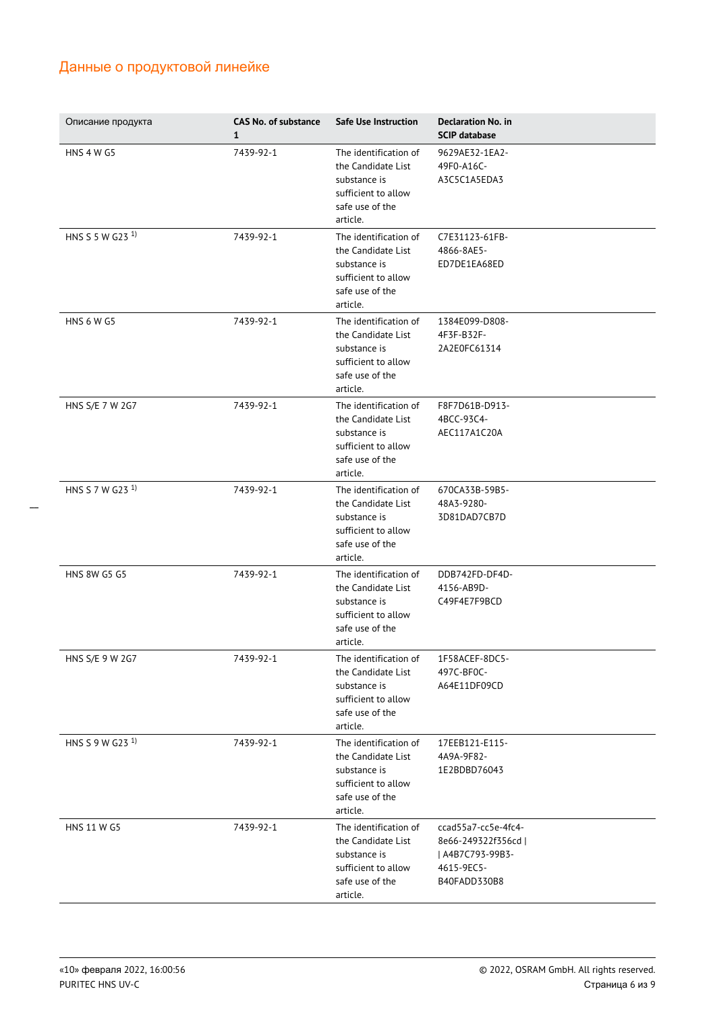| Описание продукта           | <b>CAS No. of substance</b><br>$\mathbf{1}$ | Safe Use Instruction                                                                                              | <b>Declaration No. in</b><br><b>SCIP database</b>                                            |
|-----------------------------|---------------------------------------------|-------------------------------------------------------------------------------------------------------------------|----------------------------------------------------------------------------------------------|
| <b>HNS 4 W G5</b>           | 7439-92-1                                   | The identification of<br>the Candidate List<br>substance is<br>sufficient to allow<br>safe use of the<br>article. | 9629AE32-1EA2-<br>49F0-A16C-<br>A3C5C1A5EDA3                                                 |
| HNS S 5 W G23 <sup>1)</sup> | 7439-92-1                                   | The identification of<br>the Candidate List<br>substance is<br>sufficient to allow<br>safe use of the<br>article. | C7E31123-61FB-<br>4866-8AE5-<br>ED7DE1EA68ED                                                 |
| <b>HNS 6 W G5</b>           | 7439-92-1                                   | The identification of<br>the Candidate List<br>substance is<br>sufficient to allow<br>safe use of the<br>article. | 1384E099-D808-<br>4F3F-B32F-<br>2A2E0FC61314                                                 |
| HNS S/E 7 W 2G7             | 7439-92-1                                   | The identification of<br>the Candidate List<br>substance is<br>sufficient to allow<br>safe use of the<br>article. | F8F7D61B-D913-<br>4BCC-93C4-<br>AEC117A1C20A                                                 |
| HNS S 7 W G23 <sup>1)</sup> | 7439-92-1                                   | The identification of<br>the Candidate List<br>substance is<br>sufficient to allow<br>safe use of the<br>article. | 670CA33B-59B5-<br>48A3-9280-<br>3D81DAD7CB7D                                                 |
| <b>HNS 8W G5 G5</b>         | 7439-92-1                                   | The identification of<br>the Candidate List<br>substance is<br>sufficient to allow<br>safe use of the<br>article. | DDB742FD-DF4D-<br>4156-AB9D-<br>C49F4E7F9BCD                                                 |
| HNS S/E 9 W 2G7             | 7439-92-1                                   | The identification of<br>the Candidate List<br>substance is<br>sufficient to allow<br>safe use of the<br>article. | 1F58ACEF-8DC5-<br>497C-BF0C-<br>A64E11DF09CD                                                 |
| HNS S 9 W G23 <sup>1)</sup> | 7439-92-1                                   | The identification of<br>the Candidate List<br>substance is<br>sufficient to allow<br>safe use of the<br>article. | 17EEB121-E115-<br>4A9A-9F82-<br>1E2BDBD76043                                                 |
| <b>HNS 11 W G5</b>          | 7439-92-1                                   | The identification of<br>the Candidate List<br>substance is<br>sufficient to allow<br>safe use of the<br>article. | ccad55a7-cc5e-4fc4-<br>8e66-249322f356cd  <br>  A4B7C793-99B3-<br>4615-9EC5-<br>B40FADD330B8 |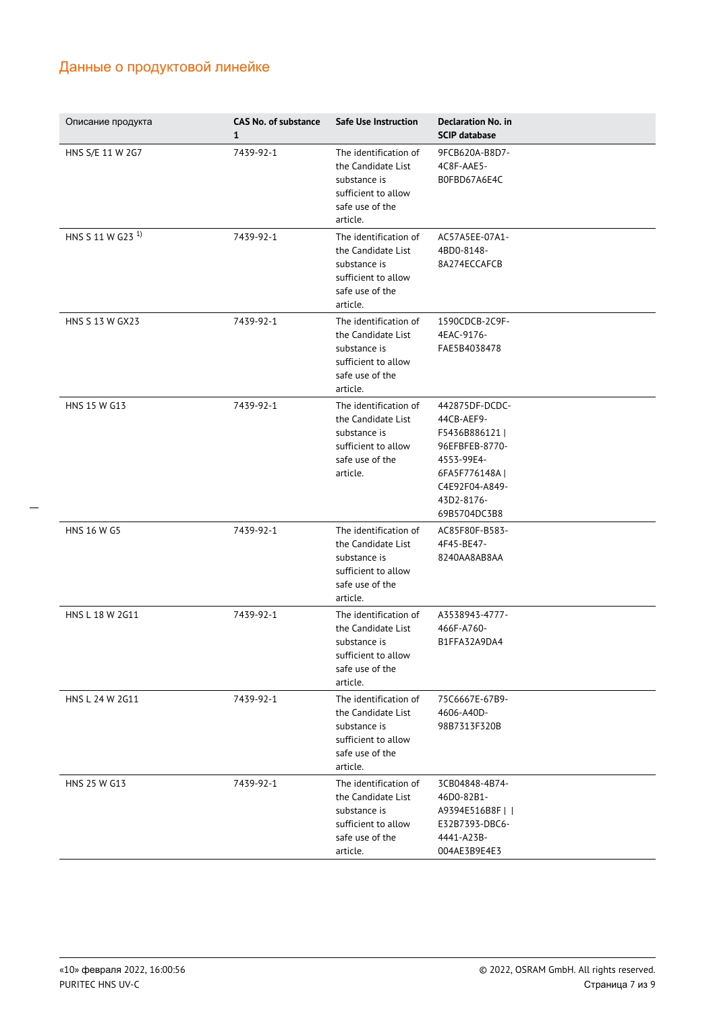| Описание продукта            | <b>CAS No. of substance</b><br>$\mathbf{1}$ | Safe Use Instruction                                                                                              | <b>Declaration No. in</b><br><b>SCIP database</b>                                                                                              |
|------------------------------|---------------------------------------------|-------------------------------------------------------------------------------------------------------------------|------------------------------------------------------------------------------------------------------------------------------------------------|
| HNS S/E 11 W 2G7             | 7439-92-1                                   | The identification of<br>the Candidate List<br>substance is<br>sufficient to allow<br>safe use of the<br>article. | 9FCB620A-B8D7-<br>4C8F-AAE5-<br>B0FBD67A6E4C                                                                                                   |
| HNS S 11 W G23 <sup>1)</sup> | 7439-92-1                                   | The identification of<br>the Candidate List<br>substance is<br>sufficient to allow<br>safe use of the<br>article. | AC57A5EE-07A1-<br>4BD0-8148-<br>8A274ECCAFCB                                                                                                   |
| HNS S 13 W GX23              | 7439-92-1                                   | The identification of<br>the Candidate List<br>substance is<br>sufficient to allow<br>safe use of the<br>article. | 1590CDCB-2C9F-<br>4EAC-9176-<br>FAE5B4038478                                                                                                   |
| HNS 15 W G13                 | 7439-92-1                                   | The identification of<br>the Candidate List<br>substance is<br>sufficient to allow<br>safe use of the<br>article. | 442875DF-DCDC-<br>44CB-AEF9-<br>F5436B886121<br>96EFBFEB-8770-<br>4553-99E4-<br>6FA5F776148A  <br>C4E92F04-A849-<br>43D2-8176-<br>69B5704DC3B8 |
| <b>HNS 16 W G5</b>           | 7439-92-1                                   | The identification of<br>the Candidate List<br>substance is<br>sufficient to allow<br>safe use of the<br>article. | AC85F80F-B583-<br>4F45-BE47-<br>8240AA8AB8AA                                                                                                   |
| HNS L 18 W 2G11              | 7439-92-1                                   | The identification of<br>the Candidate List<br>substance is<br>sufficient to allow<br>safe use of the<br>article. | A3538943-4777-<br>466F-A760-<br>B1FFA32A9DA4                                                                                                   |
| HNS L 24 W 2G11              | 7439-92-1                                   | The identification of<br>the Candidate List<br>substance is<br>sufficient to allow<br>safe use of the<br>article. | 75C6667E-67B9-<br>4606-A40D-<br>98B7313F320B                                                                                                   |
| HNS 25 W G13                 | 7439-92-1                                   | The identification of<br>the Candidate List<br>substance is<br>sufficient to allow<br>safe use of the<br>article. | 3CB04848-4B74-<br>46D0-82B1-<br>A9394E516B8F    <br>E32B7393-DBC6-<br>4441-A23B-<br>004AE3B9E4E3                                               |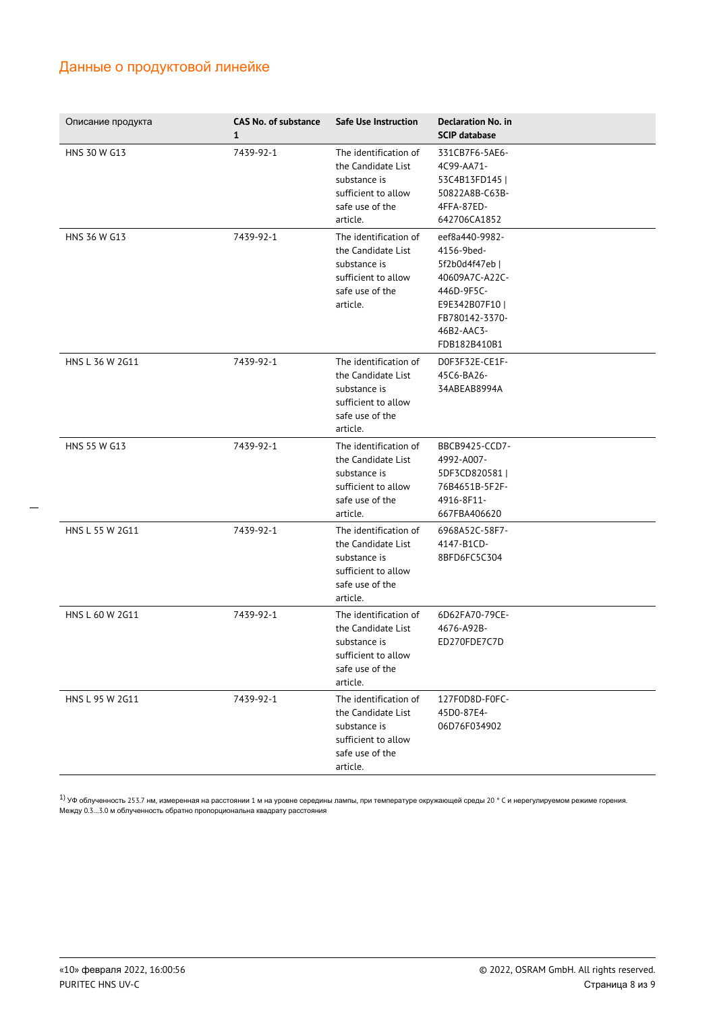| Описание продукта | <b>CAS No. of substance</b><br>$\mathbf{1}$ | Safe Use Instruction                                                                                              | <b>Declaration No. in</b><br><b>SCIP database</b>                                                                                              |
|-------------------|---------------------------------------------|-------------------------------------------------------------------------------------------------------------------|------------------------------------------------------------------------------------------------------------------------------------------------|
| HNS 30 W G13      | 7439-92-1                                   | The identification of<br>the Candidate List<br>substance is<br>sufficient to allow<br>safe use of the<br>article. | 331CB7F6-5AE6-<br>4C99-AA71-<br>53C4B13FD145  <br>50822A8B-C63B-<br>4FFA-87ED-<br>642706CA1852                                                 |
| HNS 36 W G13      | 7439-92-1                                   | The identification of<br>the Candidate List<br>substance is<br>sufficient to allow<br>safe use of the<br>article. | eef8a440-9982-<br>4156-9bed-<br>5f2b0d4f47eb  <br>40609A7C-A22C-<br>446D-9F5C-<br>E9E342B07F10<br>FB780142-3370-<br>46B2-AAC3-<br>FDB182B410B1 |
| HNS L 36 W 2G11   | 7439-92-1                                   | The identification of<br>the Candidate List<br>substance is<br>sufficient to allow<br>safe use of the<br>article. | DOF3F32E-CE1F-<br>45C6-BA26-<br>34ABEAB8994A                                                                                                   |
| HNS 55 W G13      | 7439-92-1                                   | The identification of<br>the Candidate List<br>substance is<br>sufficient to allow<br>safe use of the<br>article. | BBCB9425-CCD7-<br>4992-A007-<br>5DF3CD820581  <br>76B4651B-5F2F-<br>4916-8F11-<br>667FBA406620                                                 |
| HNS L 55 W 2G11   | 7439-92-1                                   | The identification of<br>the Candidate List<br>substance is<br>sufficient to allow<br>safe use of the<br>article. | 6968A52C-58F7-<br>4147-B1CD-<br>8BFD6FC5C304                                                                                                   |
| HNS L 60 W 2G11   | 7439-92-1                                   | The identification of<br>the Candidate List<br>substance is<br>sufficient to allow<br>safe use of the<br>article. | 6D62FA70-79CE-<br>4676-A92B-<br>ED270FDE7C7D                                                                                                   |
| HNS L 95 W 2G11   | 7439-92-1                                   | The identification of<br>the Candidate List<br>substance is<br>sufficient to allow<br>safe use of the<br>article. | 127F0D8D-F0FC-<br>45D0-87E4-<br>06D76F034902                                                                                                   |

 $^{1)}$  УФ облученность 253.7 нм, измеренная на расстоянии 1 м на уровне середины лампы, при температуре окружающей среды 20 ° C и нерегулируемом режиме горения. Между 0.3…3.0 м облученность обратно пропорциональна квадрату расстояния